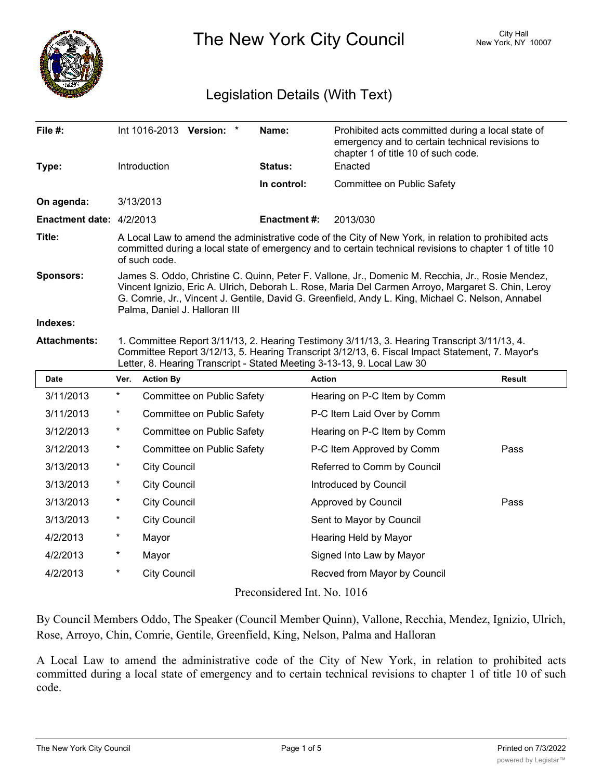

The New York City Council New York, NY 10007

## Legislation Details (With Text)

| <b>Date</b>                     | <b>Action By</b><br>Ver.                                                                                                                                                                                                                                                                                                                     | <b>Action</b>       |                                                                                                      | <b>Result</b> |  |  |
|---------------------------------|----------------------------------------------------------------------------------------------------------------------------------------------------------------------------------------------------------------------------------------------------------------------------------------------------------------------------------------------|---------------------|------------------------------------------------------------------------------------------------------|---------------|--|--|
| <b>Attachments:</b>             | 1. Committee Report 3/11/13, 2. Hearing Testimony 3/11/13, 3. Hearing Transcript 3/11/13, 4.<br>Committee Report 3/12/13, 5. Hearing Transcript 3/12/13, 6. Fiscal Impact Statement, 7. Mayor's<br>Letter, 8. Hearing Transcript - Stated Meeting 3-13-13, 9. Local Law 30                                                                   |                     |                                                                                                      |               |  |  |
| Indexes:                        |                                                                                                                                                                                                                                                                                                                                              |                     |                                                                                                      |               |  |  |
| <b>Sponsors:</b>                | James S. Oddo, Christine C. Quinn, Peter F. Vallone, Jr., Domenic M. Recchia, Jr., Rosie Mendez,<br>Vincent Ignizio, Eric A. Ulrich, Deborah L. Rose, Maria Del Carmen Arroyo, Margaret S. Chin, Leroy<br>G. Comrie, Jr., Vincent J. Gentile, David G. Greenfield, Andy L. King, Michael C. Nelson, Annabel<br>Palma, Daniel J. Halloran III |                     |                                                                                                      |               |  |  |
| Title:                          | A Local Law to amend the administrative code of the City of New York, in relation to prohibited acts<br>committed during a local state of emergency and to certain technical revisions to chapter 1 of title 10<br>of such code.                                                                                                             |                     |                                                                                                      |               |  |  |
| <b>Enactment date: 4/2/2013</b> |                                                                                                                                                                                                                                                                                                                                              | <b>Enactment #:</b> | 2013/030                                                                                             |               |  |  |
| On agenda:                      | 3/13/2013                                                                                                                                                                                                                                                                                                                                    |                     |                                                                                                      |               |  |  |
|                                 |                                                                                                                                                                                                                                                                                                                                              | In control:         | Committee on Public Safety                                                                           |               |  |  |
| Type:                           | <b>Introduction</b>                                                                                                                                                                                                                                                                                                                          | Status:             | chapter 1 of title 10 of such code.<br>Enacted                                                       |               |  |  |
| File #:                         | Int 1016-2013 Version:                                                                                                                                                                                                                                                                                                                       | Name:               | Prohibited acts committed during a local state of<br>emergency and to certain technical revisions to |               |  |  |

|                             |                                 |                            |                              | .    |  |  |
|-----------------------------|---------------------------------|----------------------------|------------------------------|------|--|--|
| 3/11/2013                   | $\ast$                          | Committee on Public Safety | Hearing on P-C Item by Comm  |      |  |  |
| 3/11/2013                   | $^\star$                        | Committee on Public Safety | P-C Item Laid Over by Comm   |      |  |  |
| 3/12/2013                   | $\star$                         | Committee on Public Safety | Hearing on P-C Item by Comm  |      |  |  |
| 3/12/2013                   | $\star$                         | Committee on Public Safety | P-C Item Approved by Comm    | Pass |  |  |
| 3/13/2013                   | $^\star$                        | <b>City Council</b>        | Referred to Comm by Council  |      |  |  |
| 3/13/2013                   | $^\star$                        | <b>City Council</b>        | Introduced by Council        |      |  |  |
| 3/13/2013                   | $^\star$                        | <b>City Council</b>        | Approved by Council          | Pass |  |  |
| 3/13/2013                   | $^\star$<br><b>City Council</b> |                            | Sent to Mayor by Council     |      |  |  |
| 4/2/2013                    | $\star$                         | Mayor                      | Hearing Held by Mayor        |      |  |  |
| 4/2/2013                    | $^\star$                        | Mayor                      | Signed Into Law by Mayor     |      |  |  |
| 4/2/2013                    | $^\star$                        | <b>City Council</b>        | Recved from Mayor by Council |      |  |  |
| Preconsidered Int. No. 1016 |                                 |                            |                              |      |  |  |

By Council Members Oddo, The Speaker (Council Member Quinn), Vallone, Recchia, Mendez, Ignizio, Ulrich, Rose, Arroyo, Chin, Comrie, Gentile, Greenfield, King, Nelson, Palma and Halloran

A Local Law to amend the administrative code of the City of New York, in relation to prohibited acts committed during a local state of emergency and to certain technical revisions to chapter 1 of title 10 of such code.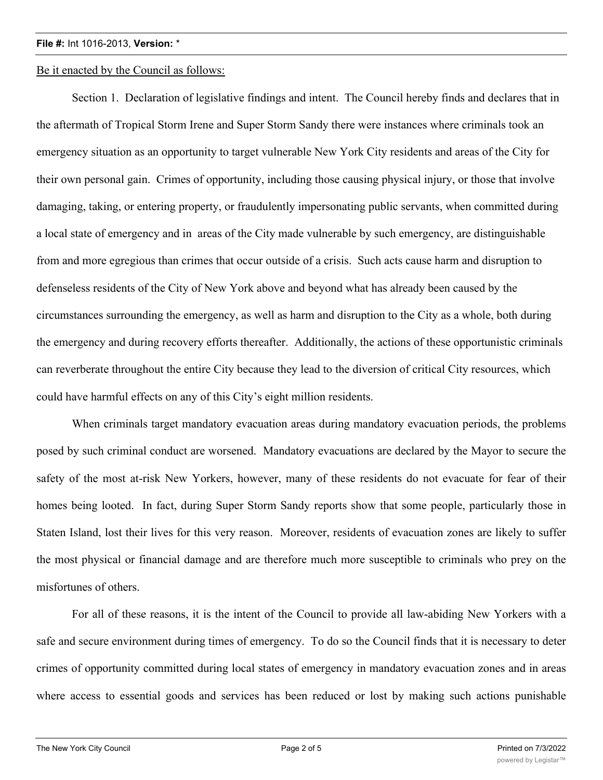## **File #:** Int 1016-2013, **Version:** \*

Be it enacted by the Council as follows:

Section 1. Declaration of legislative findings and intent. The Council hereby finds and declares that in the aftermath of Tropical Storm Irene and Super Storm Sandy there were instances where criminals took an emergency situation as an opportunity to target vulnerable New York City residents and areas of the City for their own personal gain. Crimes of opportunity, including those causing physical injury, or those that involve damaging, taking, or entering property, or fraudulently impersonating public servants, when committed during a local state of emergency and in areas of the City made vulnerable by such emergency, are distinguishable from and more egregious than crimes that occur outside of a crisis. Such acts cause harm and disruption to defenseless residents of the City of New York above and beyond what has already been caused by the circumstances surrounding the emergency, as well as harm and disruption to the City as a whole, both during the emergency and during recovery efforts thereafter. Additionally, the actions of these opportunistic criminals can reverberate throughout the entire City because they lead to the diversion of critical City resources, which could have harmful effects on any of this City's eight million residents.

When criminals target mandatory evacuation areas during mandatory evacuation periods, the problems posed by such criminal conduct are worsened. Mandatory evacuations are declared by the Mayor to secure the safety of the most at-risk New Yorkers, however, many of these residents do not evacuate for fear of their homes being looted. In fact, during Super Storm Sandy reports show that some people, particularly those in Staten Island, lost their lives for this very reason. Moreover, residents of evacuation zones are likely to suffer the most physical or financial damage and are therefore much more susceptible to criminals who prey on the misfortunes of others.

For all of these reasons, it is the intent of the Council to provide all law-abiding New Yorkers with a safe and secure environment during times of emergency. To do so the Council finds that it is necessary to deter crimes of opportunity committed during local states of emergency in mandatory evacuation zones and in areas where access to essential goods and services has been reduced or lost by making such actions punishable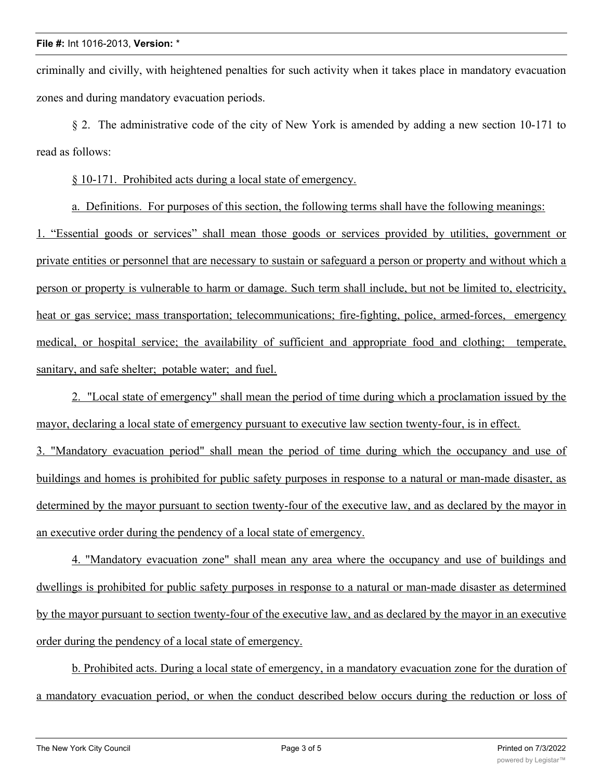criminally and civilly, with heightened penalties for such activity when it takes place in mandatory evacuation zones and during mandatory evacuation periods.

§ 2. The administrative code of the city of New York is amended by adding a new section 10-171 to read as follows:

§ 10-171. Prohibited acts during a local state of emergency.

a. Definitions. For purposes of this section, the following terms shall have the following meanings:

1. "Essential goods or services" shall mean those goods or services provided by utilities, government or private entities or personnel that are necessary to sustain or safeguard a person or property and without which a person or property is vulnerable to harm or damage. Such term shall include, but not be limited to, electricity, heat or gas service; mass transportation; telecommunications; fire-fighting, police, armed-forces, emergency medical, or hospital service; the availability of sufficient and appropriate food and clothing; temperate, sanitary, and safe shelter; potable water; and fuel.

2. "Local state of emergency" shall mean the period of time during which a proclamation issued by the mayor, declaring a local state of emergency pursuant to executive law section twenty-four, is in effect.

3. "Mandatory evacuation period" shall mean the period of time during which the occupancy and use of buildings and homes is prohibited for public safety purposes in response to a natural or man-made disaster, as determined by the mayor pursuant to section twenty-four of the executive law, and as declared by the mayor in an executive order during the pendency of a local state of emergency.

4. "Mandatory evacuation zone" shall mean any area where the occupancy and use of buildings and dwellings is prohibited for public safety purposes in response to a natural or man-made disaster as determined by the mayor pursuant to section twenty-four of the executive law, and as declared by the mayor in an executive order during the pendency of a local state of emergency.

b. Prohibited acts. During a local state of emergency, in a mandatory evacuation zone for the duration of a mandatory evacuation period, or when the conduct described below occurs during the reduction or loss of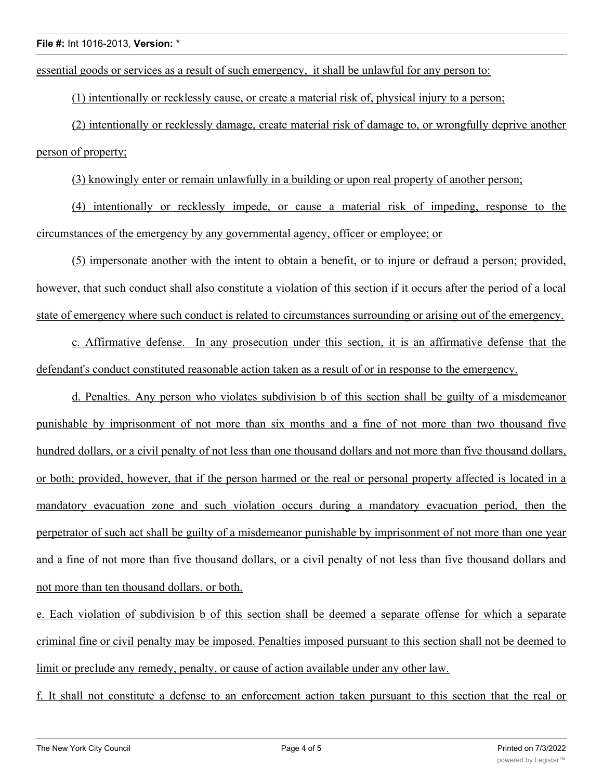essential goods or services as a result of such emergency, it shall be unlawful for any person to:

(1) intentionally or recklessly cause, or create a material risk of, physical injury to a person;

(2) intentionally or recklessly damage, create material risk of damage to, or wrongfully deprive another person of property;

(3) knowingly enter or remain unlawfully in a building or upon real property of another person;

(4) intentionally or recklessly impede, or cause a material risk of impeding, response to the circumstances of the emergency by any governmental agency, officer or employee; or

(5) impersonate another with the intent to obtain a benefit, or to injure or defraud a person; provided, however, that such conduct shall also constitute a violation of this section if it occurs after the period of a local state of emergency where such conduct is related to circumstances surrounding or arising out of the emergency.

c. Affirmative defense. In any prosecution under this section, it is an affirmative defense that the defendant's conduct constituted reasonable action taken as a result of or in response to the emergency.

d. Penalties. Any person who violates subdivision b of this section shall be guilty of a misdemeanor punishable by imprisonment of not more than six months and a fine of not more than two thousand five hundred dollars, or a civil penalty of not less than one thousand dollars and not more than five thousand dollars, or both; provided, however, that if the person harmed or the real or personal property affected is located in a mandatory evacuation zone and such violation occurs during a mandatory evacuation period, then the perpetrator of such act shall be guilty of a misdemeanor punishable by imprisonment of not more than one year and a fine of not more than five thousand dollars, or a civil penalty of not less than five thousand dollars and not more than ten thousand dollars, or both.

e. Each violation of subdivision b of this section shall be deemed a separate offense for which a separate criminal fine or civil penalty may be imposed. Penalties imposed pursuant to this section shall not be deemed to limit or preclude any remedy, penalty, or cause of action available under any other law.

f. It shall not constitute a defense to an enforcement action taken pursuant to this section that the real or